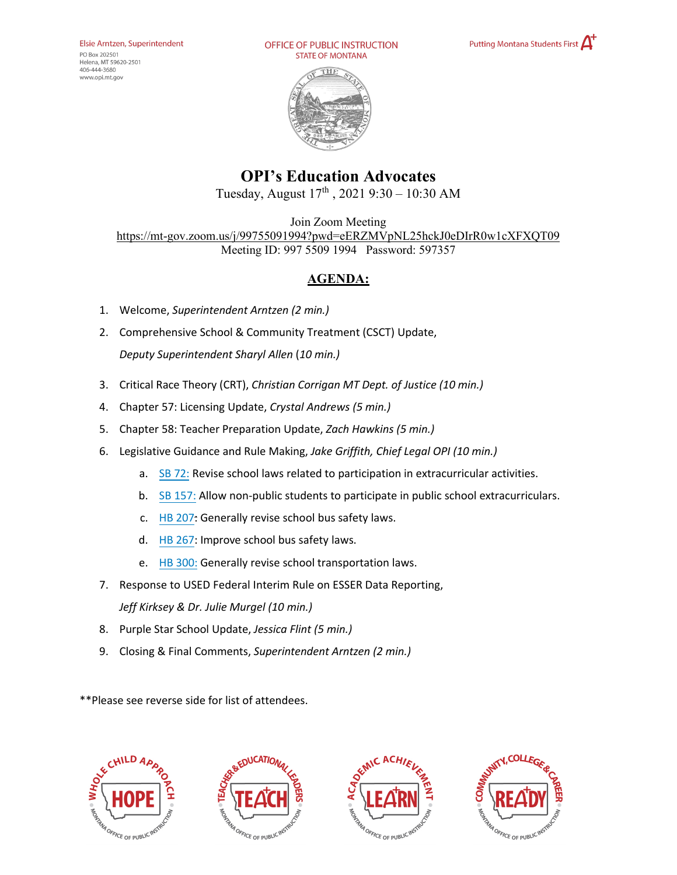PO Box 202501 Helena, MT 59620-2501 406-444-3680 www.opi.mt.gov

OFFICE OF PUBLIC INSTRUCTION **STATE OF MONTANA** 





## **OPI's Education Advocates**

Tuesday, August 17th , 2021 9:30 – 10:30 AM

Join Zoom Meeting <https://mt-gov.zoom.us/j/99755091994?pwd=eERZMVpNL25hckJ0eDIrR0w1cXFXQT09> Meeting ID: 997 5509 1994 Password: 597357

## **AGENDA:**

- 1. Welcome, *Superintendent Arntzen (2 min.)*
- 2. Comprehensive School & Community Treatment (CSCT) Update, *Deputy Superintendent Sharyl Allen* (*10 min.)*
- 3. Critical Race Theory (CRT), *Christian Corrigan MT Dept. of Justice (10 min.)*
- 4. Chapter 57: Licensing Update, *Crystal Andrews (5 min.)*
- 5. Chapter 58: Teacher Preparation Update, *Zach Hawkins (5 min.)*
- 6. Legislative Guidance and Rule Making, *Jake Griffith, Chief Legal OPI (10 min.)*
	- a. [SB 72:](https://leg.mt.gov/bills/2021/billpdf/SB0072.pdf) Revise school laws related to participation in extracurricular activities.
	- b. [SB 157:](https://leg.mt.gov/bills/2021/billpdf/SB0157.pdf) Allow non-public students to participate in public school extracurriculars.
	- c. [HB 207:](https://leg.mt.gov/bills/2021/billpdf/HB0207.pdf) Generally revise school bus safety laws.
	- d. [HB 267:](https://leg.mt.gov/bills/2021/billpdf/HB0267.pdf) Improve school bus safety laws.
	- e. [HB 300:](https://leg.mt.gov/bills/2021/billpdf/HB0300.pdf) Generally revise school transportation laws.
- 7. Response to USED Federal Interim Rule on ESSER Data Reporting, *Jeff Kirksey & Dr. Julie Murgel (10 min.)*
- 8. Purple Star School Update, *Jessica Flint (5 min.)*
- 9. Closing & Final Comments, *Superintendent Arntzen (2 min.)*

\*\*Please see reverse side for list of attendees.